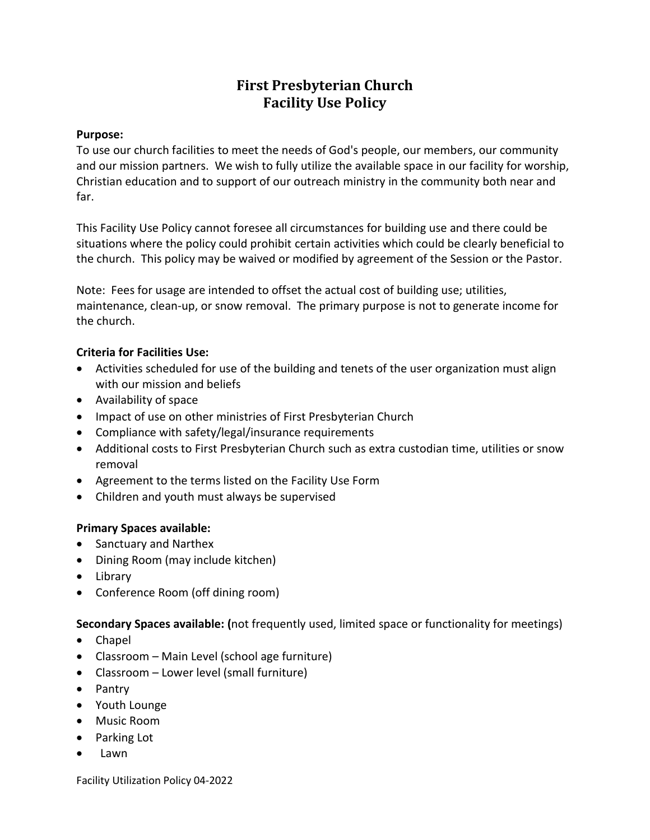# **First Presbyterian Church Facility Use Policy**

#### **Purpose:**

To use our church facilities to meet the needs of God's people, our members, our community and our mission partners. We wish to fully utilize the available space in our facility for worship, Christian education and to support of our outreach ministry in the community both near and far.

This Facility Use Policy cannot foresee all circumstances for building use and there could be situations where the policy could prohibit certain activities which could be clearly beneficial to the church. This policy may be waived or modified by agreement of the Session or the Pastor.

Note: Fees for usage are intended to offset the actual cost of building use; utilities, maintenance, clean-up, or snow removal. The primary purpose is not to generate income for the church.

### **Criteria for Facilities Use:**

- Activities scheduled for use of the building and tenets of the user organization must align with our mission and beliefs
- Availability of space
- Impact of use on other ministries of First Presbyterian Church
- Compliance with safety/legal/insurance requirements
- Additional costs to First Presbyterian Church such as extra custodian time, utilities or snow removal
- Agreement to the terms listed on the Facility Use Form
- Children and youth must always be supervised

### **Primary Spaces available:**

- Sanctuary and Narthex
- Dining Room (may include kitchen)
- Library
- Conference Room (off dining room)

**Secondary Spaces available: (**not frequently used, limited space or functionality for meetings)

- Chapel
- Classroom Main Level (school age furniture)
- Classroom Lower level (small furniture)
- Pantry
- Youth Lounge
- Music Room
- Parking Lot
- Lawn

Facility Utilization Policy 04-2022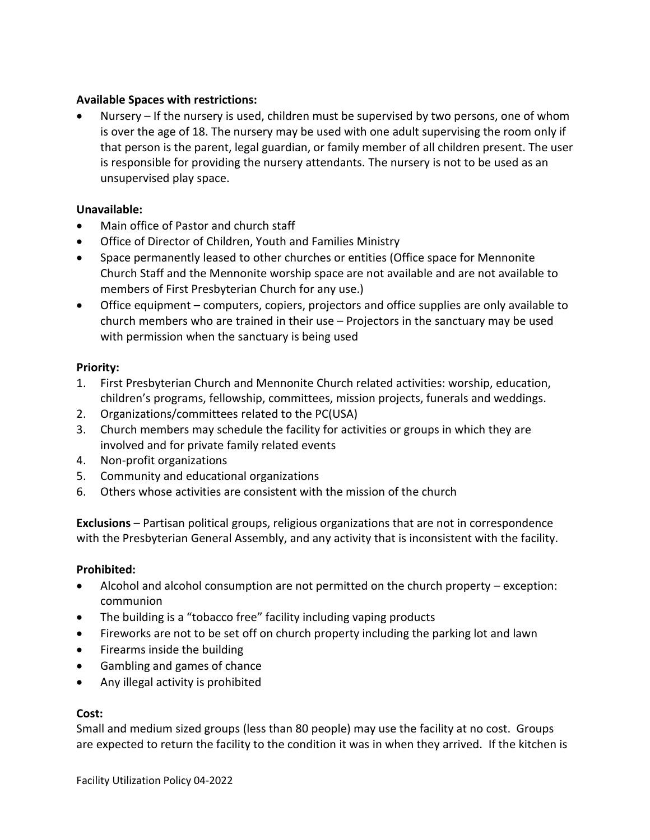## **Available Spaces with restrictions:**

Nursery – If the nursery is used, children must be supervised by two persons, one of whom is over the age of 18. The nursery may be used with one adult supervising the room only if that person is the parent, legal guardian, or family member of all children present. The user is responsible for providing the nursery attendants. The nursery is not to be used as an unsupervised play space.

## **Unavailable:**

- Main office of Pastor and church staff
- Office of Director of Children, Youth and Families Ministry
- Space permanently leased to other churches or entities (Office space for Mennonite Church Staff and the Mennonite worship space are not available and are not available to members of First Presbyterian Church for any use.)
- Office equipment computers, copiers, projectors and office supplies are only available to church members who are trained in their use – Projectors in the sanctuary may be used with permission when the sanctuary is being used

## **Priority:**

- 1. First Presbyterian Church and Mennonite Church related activities: worship, education, children's programs, fellowship, committees, mission projects, funerals and weddings.
- 2. Organizations/committees related to the PC(USA)
- 3. Church members may schedule the facility for activities or groups in which they are involved and for private family related events
- 4. Non-profit organizations
- 5. Community and educational organizations
- 6. Others whose activities are consistent with the mission of the church

**Exclusions** – Partisan political groups, religious organizations that are not in correspondence with the Presbyterian General Assembly, and any activity that is inconsistent with the facility.

# **Prohibited:**

- Alcohol and alcohol consumption are not permitted on the church property exception: communion
- The building is a "tobacco free" facility including vaping products
- Fireworks are not to be set off on church property including the parking lot and lawn
- Firearms inside the building
- Gambling and games of chance
- Any illegal activity is prohibited

### **Cost:**

Small and medium sized groups (less than 80 people) may use the facility at no cost. Groups are expected to return the facility to the condition it was in when they arrived. If the kitchen is